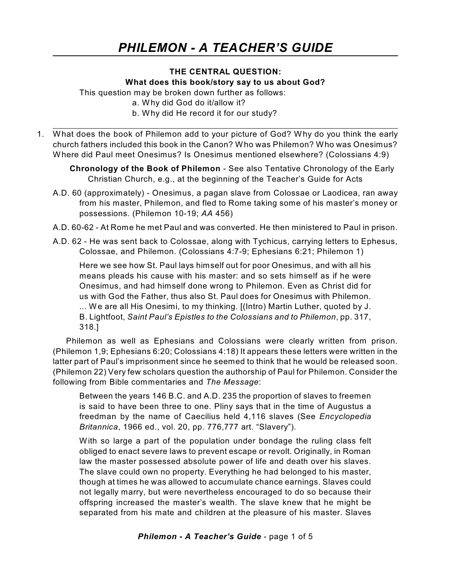# **THE CENTRAL QUESTION:**

#### **What does this book/story say to us about God?**

This question may be broken down further as follows:

- a. Why did God do it/allow it?
- b. Why did He record it for our study?
- 1. What does the book of Philemon add to your picture of God? Why do you think the early church fathers included this book in the Canon? Who was Philemon? Who was Onesimus? Where did Paul meet Onesimus? Is Onesimus mentioned elsewhere? (Colossians 4:9)
	- **Chronology of the Book of Philemon** See also Tentative Chronology of the Early Christian Church, e.g., at the beginning of the Teacher's Guide for Acts
	- A.D. 60 (approximately) Onesimus, a pagan slave from Colossae or Laodicea, ran away from his master, Philemon, and fled to Rome taking some of his master's money or possessions. (Philemon 10-19; *AA* 456)
	- A.D. 60-62 At Rome he met Paul and was converted. He then ministered to Paul in prison.
	- A.D. 62 He was sent back to Colossae, along with Tychicus, carrying letters to Ephesus, Colossae, and Philemon. (Colossians 4:7-9; Ephesians 6:21; Philemon 1)

Here we see how St. Paul lays himself out for poor Onesimus, and with all his means pleads his cause with his master: and so sets himself as if he were Onesimus, and had himself done wrong to Philemon. Even as Christ did for us with God the Father, thus also St. Paul does for Onesimus with Philemon. ... We are all His Onesimi, to my thinking. [(Intro) Martin Luther, quoted by J. B. Lightfoot, *Saint Paul's Epistles to the Colossians and to Philemon*, pp. 317, 318.]

Philemon as well as Ephesians and Colossians were clearly written from prison. (Philemon 1,9; Ephesians 6:20; Colossians 4:18) It appears these letters were written in the latter part of Paul's imprisonment since he seemed to think that he would be released soon. (Philemon 22) Very few scholars question the authorship of Paul for Philemon. Consider the following from Bible commentaries and *The Message*:

Between the years 146 B.C. and A.D. 235 the proportion of slaves to freemen is said to have been three to one. Pliny says that in the time of Augustus a freedman by the name of Caecilius held 4,116 slaves (See *Encyclopedia Britannica*, 1966 ed., vol. 20, pp. 776,777 art. "Slavery").

With so large a part of the population under bondage the ruling class felt obliged to enact severe laws to prevent escape or revolt. Originally, in Roman law the master possessed absolute power of life and death over his slaves. The slave could own no property. Everything he had belonged to his master, though at times he was allowed to accumulate chance earnings. Slaves could not legally marry, but were nevertheless encouraged to do so because their offspring increased the master's wealth. The slave knew that he might be separated from his mate and children at the pleasure of his master. Slaves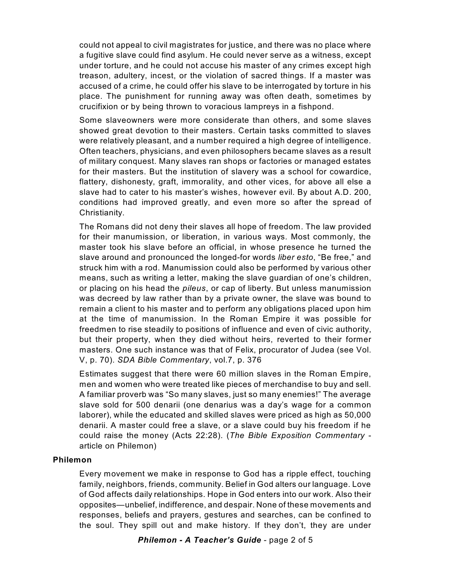could not appeal to civil magistrates for justice, and there was no place where a fugitive slave could find asylum. He could never serve as a witness, except under torture, and he could not accuse his master of any crimes except high treason, adultery, incest, or the violation of sacred things. If a master was accused of a crime, he could offer his slave to be interrogated by torture in his place. The punishment for running away was often death, sometimes by crucifixion or by being thrown to voracious lampreys in a fishpond.

Some slaveowners were more considerate than others, and some slaves showed great devotion to their masters. Certain tasks committed to slaves were relatively pleasant, and a number required a high degree of intelligence. Often teachers, physicians, and even philosophers became slaves as a result of military conquest. Many slaves ran shops or factories or managed estates for their masters. But the institution of slavery was a school for cowardice, flattery, dishonesty, graft, immorality, and other vices, for above all else a slave had to cater to his master's wishes, however evil. By about A.D. 200, conditions had improved greatly, and even more so after the spread of Christianity.

The Romans did not deny their slaves all hope of freedom. The law provided for their manumission, or liberation, in various ways. Most commonly, the master took his slave before an official, in whose presence he turned the slave around and pronounced the longed-for words *liber esto*, "Be free," and struck him with a rod. Manumission could also be performed by various other means, such as writing a letter, making the slave guardian of one's children, or placing on his head the *pileus*, or cap of liberty. But unless manumission was decreed by law rather than by a private owner, the slave was bound to remain a client to his master and to perform any obligations placed upon him at the time of manumission. In the Roman Empire it was possible for freedmen to rise steadily to positions of influence and even of civic authority, but their property, when they died without heirs, reverted to their former masters. One such instance was that of Felix, procurator of Judea (see Vol. V, p. 70). *SDA Bible Commentary*, vol.7, p. 376

Estimates suggest that there were 60 million slaves in the Roman Empire, men and women who were treated like pieces of merchandise to buy and sell. A familiar proverb was "So many slaves, just so many enemies!" The average slave sold for 500 denarii (one denarius was a day's wage for a common laborer), while the educated and skilled slaves were priced as high as 50,000 denarii. A master could free a slave, or a slave could buy his freedom if he could raise the money (Acts 22:28). (*The Bible Exposition Commentary* article on Philemon)

### **Philemon**

Every movement we make in response to God has a ripple effect, touching family, neighbors, friends, community. Belief in God alters our language. Love of God affects daily relationships. Hope in God enters into our work. Also their opposites—unbelief, indifference, and despair. None of these movements and responses, beliefs and prayers, gestures and searches, can be confined to the soul. They spill out and make history. If they don't, they are under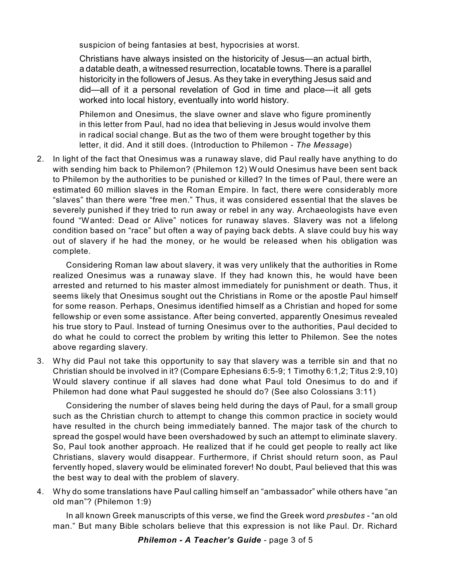suspicion of being fantasies at best, hypocrisies at worst.

Christians have always insisted on the historicity of Jesus—an actual birth, a datable death, a witnessed resurrection, locatable towns. There is a parallel historicity in the followers of Jesus. As they take in everything Jesus said and did—all of it a personal revelation of God in time and place—it all gets worked into local history, eventually into world history.

Philemon and Onesimus, the slave owner and slave who figure prominently in this letter from Paul, had no idea that believing in Jesus would involve them in radical social change. But as the two of them were brought together by this letter, it did. And it still does. (Introduction to Philemon - *The Message*)

2. In light of the fact that Onesimus was a runaway slave, did Paul really have anything to do with sending him back to Philemon? (Philemon 12) Would Onesimus have been sent back to Philemon by the authorities to be punished or killed? In the times of Paul, there were an estimated 60 million slaves in the Roman Empire. In fact, there were considerably more "slaves" than there were "free men." Thus, it was considered essential that the slaves be severely punished if they tried to run away or rebel in any way. Archaeologists have even found "Wanted: Dead or Alive" notices for runaway slaves. Slavery was not a lifelong condition based on "race" but often a way of paying back debts. A slave could buy his way out of slavery if he had the money, or he would be released when his obligation was complete.

Considering Roman law about slavery, it was very unlikely that the authorities in Rome realized Onesimus was a runaway slave. If they had known this, he would have been arrested and returned to his master almost immediately for punishment or death. Thus, it seems likely that Onesimus sought out the Christians in Rome or the apostle Paul himself for some reason. Perhaps, Onesimus identified himself as a Christian and hoped for some fellowship or even some assistance. After being converted, apparently Onesimus revealed his true story to Paul. Instead of turning Onesimus over to the authorities, Paul decided to do what he could to correct the problem by writing this letter to Philemon. See the notes above regarding slavery.

3. Why did Paul not take this opportunity to say that slavery was a terrible sin and that no Christian should be involved in it? (Compare Ephesians 6:5-9; 1 Timothy 6:1,2; Titus 2:9,10) Would slavery continue if all slaves had done what Paul told Onesimus to do and if Philemon had done what Paul suggested he should do? (See also Colossians 3:11)

Considering the number of slaves being held during the days of Paul, for a small group such as the Christian church to attempt to change this common practice in society would have resulted in the church being immediately banned. The major task of the church to spread the gospel would have been overshadowed by such an attempt to eliminate slavery. So, Paul took another approach. He realized that if he could get people to really act like Christians, slavery would disappear. Furthermore, if Christ should return soon, as Paul fervently hoped, slavery would be eliminated forever! No doubt, Paul believed that this was the best way to deal with the problem of slavery.

4. Why do some translations have Paul calling himself an "ambassador" while others have "an old man"? (Philemon 1:9)

In all known Greek manuscripts of this verse, we find the Greek word *presbutes -* "an old man." But many Bible scholars believe that this expression is not like Paul. Dr. Richard

*Philemon - A Teacher's Guide* - page 3 of 5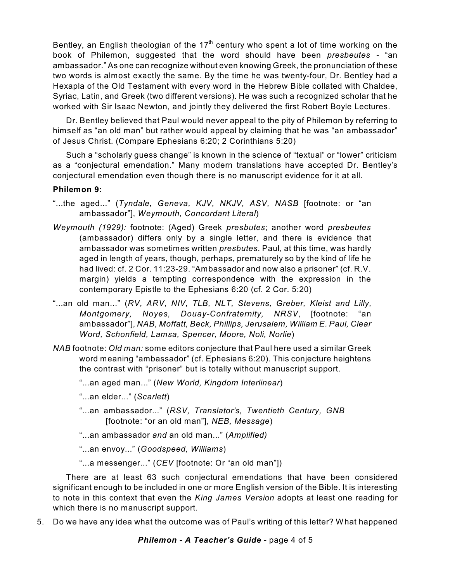Bentley, an English theologian of the 17<sup>th</sup> century who spent a lot of time working on the book of Philemon, suggested that the word should have been *presbeutes -* "an ambassador." As one can recognize without even knowing Greek, the pronunciation of these two words is almost exactly the same. By the time he was twenty-four, Dr. Bentley had a Hexapla of the Old Testament with every word in the Hebrew Bible collated with Chaldee, Syriac, Latin, and Greek (two different versions). He was such a recognized scholar that he worked with Sir Isaac Newton, and jointly they delivered the first Robert Boyle Lectures.

Dr. Bentley believed that Paul would never appeal to the pity of Philemon by referring to himself as "an old man" but rather would appeal by claiming that he was "an ambassador" of Jesus Christ. (Compare Ephesians 6:20; 2 Corinthians 5:20)

Such a "scholarly guess change" is known in the science of "textual" or "lower" criticism as a "conjectural emendation." Many modern translations have accepted Dr. Bentley's conjectural emendation even though there is no manuscript evidence for it at all.

# **Philemon 9:**

- "...the aged..." (*Tyndale, Geneva, KJV, NKJV, ASV, NASB* [footnote: or "an ambassador"], *Weymouth, Concordant Literal*)
- *Weymouth (1929):* footnote: (Aged) Greek *presbutes*; another word *presbeutes* (ambassador) differs only by a single letter, and there is evidence that ambassador was sometimes written *presbutes*. Paul, at this time, was hardly aged in length of years, though, perhaps, prematurely so by the kind of life he had lived: cf. 2 Cor. 11:23-29. "Ambassador and now also a prisoner" (cf. R.V. margin) yields a tempting correspondence with the expression in the contemporary Epistle to the Ephesians 6:20 (cf. 2 Cor. 5:20)
- "...an old man..." (*RV, ARV, NIV, TLB, NLT, Stevens, Greber, Kleist and Lilly, Montgomery, Noyes, Douay-Confraternity, NRSV*, [footnote: "an ambassador"], *NAB, Moffatt, Beck, Phillips, Jerusalem, William E. Paul, Clear Word, Schonfield, Lamsa, Spencer, Moore, Noli, Norlie*)
- *NAB* footnote: *Old man:* some editors conjecture that Paul here used a similar Greek word meaning "ambassador" (cf. Ephesians 6:20). This conjecture heightens the contrast with "prisoner" but is totally without manuscript support.

### "...an aged man..." (*New World, Kingdom Interlinear*)

- "...an elder..." (*Scarlett*)
- "...an ambassador..." (*RSV, Translator's, Twentieth Century, GNB* [footnote: "or an old man"], *NEB, Message*)
- "...an ambassador *and* an old man..." (*Amplified)*

"...an envoy..." (*Goodspeed, Williams*)

"...a messenger..." (*CEV* [footnote: Or "an old man"])

There are at least 63 such conjectural emendations that have been considered significant enough to be included in one or more English version of the Bible. It is interesting to note in this context that even the *King James Version* adopts at least one reading for which there is no manuscript support.

5. Do we have any idea what the outcome was of Paul's writing of this letter? What happened